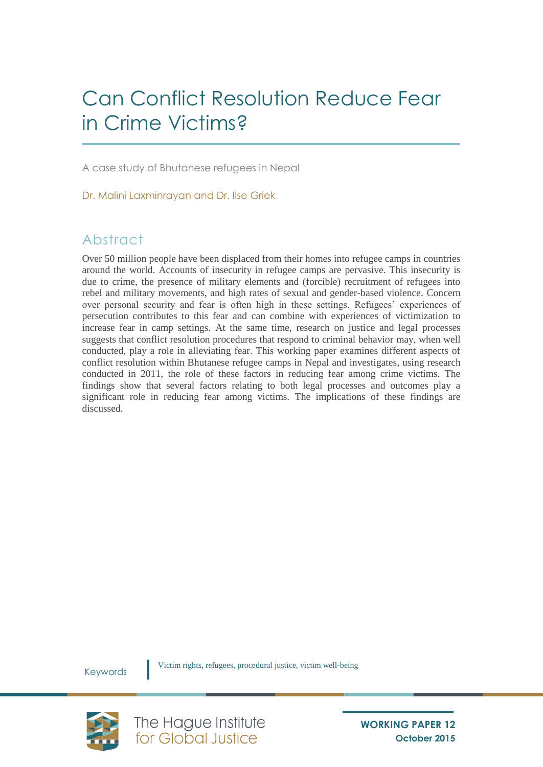# Can Conflict Resolution Reduce Fear in Crime Victims?

A case study of Bhutanese refugees in Nepal

Dr. Malini Laxminrayan and Dr. Ilse Griek

# Abstract

Over 50 million people have been displaced from their homes into refugee camps in countries around the world. Accounts of insecurity in refugee camps are pervasive. This insecurity is due to crime, the presence of military elements and (forcible) recruitment of refugees into rebel and military movements, and high rates of sexual and gender-based violence. Concern over personal security and fear is often high in these settings. Refugees' experiences of persecution contributes to this fear and can combine with experiences of victimization to increase fear in camp settings. At the same time, research on justice and legal processes suggests that conflict resolution procedures that respond to criminal behavior may, when well conducted, play a role in alleviating fear. This working paper examines different aspects of conflict resolution within Bhutanese refugee camps in Nepal and investigates, using research conducted in 2011, the role of these factors in reducing fear among crime victims. The findings show that several factors relating to both legal processes and outcomes play a significant role in reducing fear among victims. The implications of these findings are discussed.

Keywords



Victim rights, refugees, procedural justice, victim well-being

The Hague Institute<br>for Global Justice

**WORKING PAPER 12 October 2015**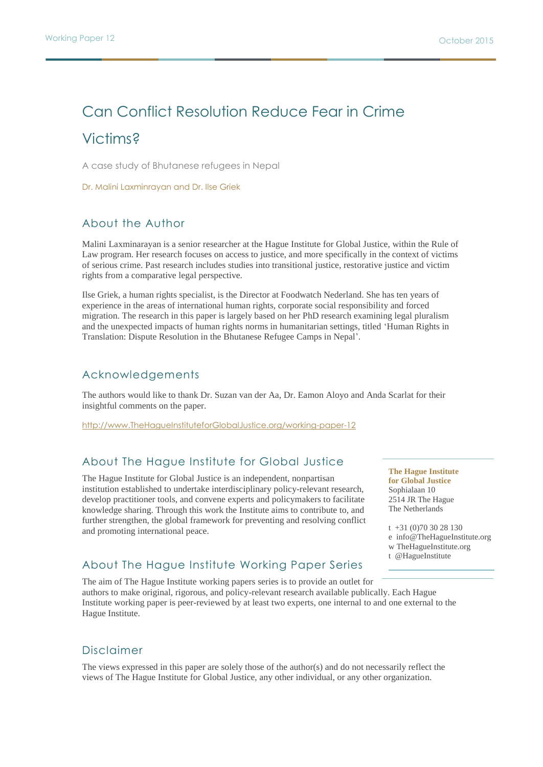# Can Conflict Resolution Reduce Fear in Crime Victims?

A case study of Bhutanese refugees in Nepal

Dr. Malini Laxminrayan and Dr. Ilse Griek

## About the Author

Malini Laxminarayan is a senior researcher at the Hague Institute for Global Justice, within the Rule of Law program. Her research focuses on access to justice, and more specifically in the context of victims of serious crime. Past research includes studies into transitional justice, restorative justice and victim rights from a comparative legal perspective.

Ilse Griek, a human rights specialist, is the Director at Foodwatch Nederland. She has ten years of experience in the areas of international human rights, corporate social responsibility and forced migration. The research in this paper is largely based on her PhD research examining legal pluralism and the unexpected impacts of human rights norms in humanitarian settings, titled 'Human Rights in Translation: Dispute Resolution in the Bhutanese Refugee Camps in Nepal'.

### Acknowledgements

The authors would like to thank Dr. Suzan van der Aa, Dr. Eamon Aloyo and Anda Scarlat for their insightful comments on the paper.

http://www.TheHagueInstituteforGlobalJustice.org/working-paper-12

## About The Hague Institute for Global Justice

The Hague Institute for Global Justice is an independent, nonpartisan institution established to undertake interdisciplinary policy-relevant research, develop practitioner tools, and convene experts and policymakers to facilitate knowledge sharing. Through this work the Institute aims to contribute to, and further strengthen, the global framework for preventing and resolving conflict and promoting international peace.

**The Hague Institute for Global Justice** Sophialaan 10 2514 JR The Hague The Netherlands

t +31 (0)70 30 28 130 e info@TheHagueInstitute.org w TheHagueInstitute.org t @HagueInstitute

### About The Hague Institute Working Paper Series

The aim of The Hague Institute working papers series is to provide an outlet for authors to make original, rigorous, and policy-relevant research available publically. Each Hague Institute working paper is peer-reviewed by at least two experts, one internal to and one external to the Hague Institute.

## Disclaimer

The views expressed in this paper are solely those of the author(s) and do not necessarily reflect the views of The Hague Institute for Global Justice, any other individual, or any other organization.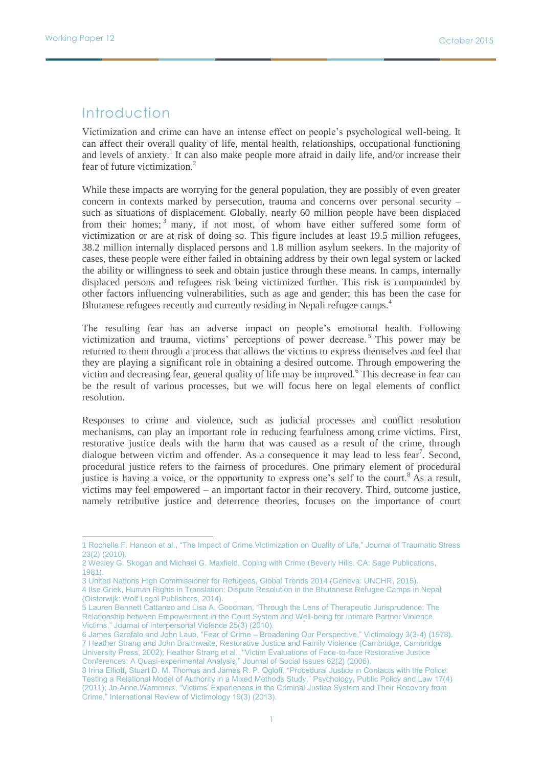$\overline{a}$ 

## Introduction

Victimization and crime can have an intense effect on people's psychological well-being. It can affect their overall quality of life, mental health, relationships, occupational functioning and levels of anxiety.<sup>1</sup> It can also make people more afraid in daily life, and/or increase their fear of future victimization.<sup>2</sup>

While these impacts are worrying for the general population, they are possibly of even greater concern in contexts marked by persecution, trauma and concerns over personal security – such as situations of displacement. Globally, nearly 60 million people have been displaced from their homes;<sup>3</sup> many, if not most, of whom have either suffered some form of victimization or are at risk of doing so. This figure includes at least 19.5 million refugees, 38.2 million internally displaced persons and 1.8 million asylum seekers. In the majority of cases, these people were either failed in obtaining address by their own legal system or lacked the ability or willingness to seek and obtain justice through these means. In camps, internally displaced persons and refugees risk being victimized further. This risk is compounded by other factors influencing vulnerabilities, such as age and gender; this has been the case for Bhutanese refugees recently and currently residing in Nepali refugee camps.<sup>4</sup>

The resulting fear has an adverse impact on people's emotional health. Following victimization and trauma, victims' perceptions of power decrease.<sup>5</sup> This power may be returned to them through a process that allows the victims to express themselves and feel that they are playing a significant role in obtaining a desired outcome. Through empowering the victim and decreasing fear, general quality of life may be improved.<sup>6</sup> This decrease in fear can be the result of various processes, but we will focus here on legal elements of conflict resolution.

Responses to crime and violence, such as judicial processes and conflict resolution mechanisms, can play an important role in reducing fearfulness among crime victims. First, restorative justice deals with the harm that was caused as a result of the crime, through dialogue between victim and offender. As a consequence it may lead to less fear<sup>7</sup>. Second, procedural justice refers to the fairness of procedures. One primary element of procedural justice is having a voice, or the opportunity to express one's self to the court.<sup>8</sup> As a result, victims may feel empowered – an important factor in their recovery. Third, outcome justice, namely retributive justice and deterrence theories, focuses on the importance of court

3 United Nations High Commissioner for Refugees, Global Trends 2014 (Geneva: UNCHR, 2015).

<sup>1</sup> Rochelle F. Hanson et al., "The Impact of Crime Victimization on Quality of Life," Journal of Traumatic Stress 23(2) (2010).

<sup>2</sup> Wesley G. Skogan and Michael G. Maxfield, Coping with Crime (Beverly Hills, CA: Sage Publications, 1981).

<sup>4</sup> Ilse Griek, Human Rights in Translation: Dispute Resolution in the Bhutanese Refugee Camps in Nepal (Oisterwijk: Wolf Legal Publishers, 2014).

<sup>5</sup> Lauren Bennett Cattaneo and Lisa A. Goodman, "Through the Lens of Therapeutic Jurisprudence: The Relationship between Empowerment in the Court System and Well-being for Intimate Partner Violence Victims," Journal of Interpersonal Violence 25(3) (2010).

<sup>6</sup> James Garofalo and John Laub, "Fear of Crime – Broadening Our Perspective," Victimology 3(3-4) (1978). 7 Heather Strang and John Braithwaite, Restorative Justice and Family Violence (Cambridge, Cambridge University Press, 2002); Heather Strang et al., "Victim Evaluations of Face-to-face Restorative Justice Conferences: A Quasi-experimental Analysis," Journal of Social Issues 62(2) (2006).

<sup>8</sup> Irina Elliott, Stuart D. M. Thomas and James R. P. Ogloff, "Procedural Justice in Contacts with the Police: Testing a Relational Model of Authority in a Mixed Methods Study," Psychology, Public Policy and Law 17(4) (2011); Jo-Anne Wemmers, "Victims' Experiences in the Criminal Justice System and Their Recovery from Crime," International Review of Victimology 19(3) (2013).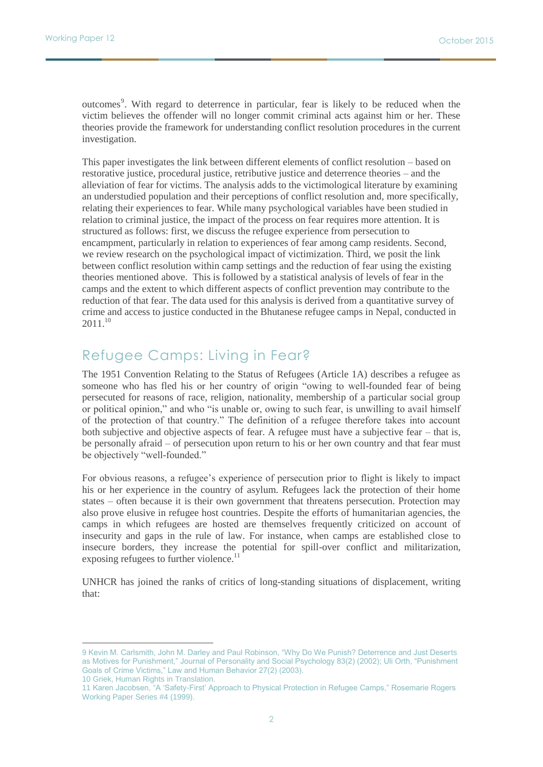outcomes<sup>9</sup>. With regard to deterrence in particular, fear is likely to be reduced when the victim believes the offender will no longer commit criminal acts against him or her. These theories provide the framework for understanding conflict resolution procedures in the current investigation.

This paper investigates the link between different elements of conflict resolution – based on restorative justice, procedural justice, retributive justice and deterrence theories – and the alleviation of fear for victims. The analysis adds to the victimological literature by examining an understudied population and their perceptions of conflict resolution and, more specifically, relating their experiences to fear. While many psychological variables have been studied in relation to criminal justice, the impact of the process on fear requires more attention. It is structured as follows: first, we discuss the refugee experience from persecution to encampment, particularly in relation to experiences of fear among camp residents. Second, we review research on the psychological impact of victimization. Third, we posit the link between conflict resolution within camp settings and the reduction of fear using the existing theories mentioned above. This is followed by a statistical analysis of levels of fear in the camps and the extent to which different aspects of conflict prevention may contribute to the reduction of that fear. The data used for this analysis is derived from a quantitative survey of crime and access to justice conducted in the Bhutanese refugee camps in Nepal, conducted in  $2011^{10}$ 

# Refugee Camps: Living in Fear?

The 1951 Convention Relating to the Status of Refugees (Article 1A) describes a refugee as someone who has fled his or her country of origin "owing to well-founded fear of being persecuted for reasons of race, religion, nationality, membership of a particular social group or political opinion," and who "is unable or, owing to such fear, is unwilling to avail himself of the protection of that country." The definition of a refugee therefore takes into account both subjective and objective aspects of fear. A refugee must have a subjective fear – that is, be personally afraid – of persecution upon return to his or her own country and that fear must be objectively "well-founded."

For obvious reasons, a refugee's experience of persecution prior to flight is likely to impact his or her experience in the country of asylum. Refugees lack the protection of their home states – often because it is their own government that threatens persecution. Protection may also prove elusive in refugee host countries. Despite the efforts of humanitarian agencies, the camps in which refugees are hosted are themselves frequently criticized on account of insecurity and gaps in the rule of law. For instance, when camps are established close to insecure borders, they increase the potential for spill-over conflict and militarization, exposing refugees to further violence.<sup>11</sup>

UNHCR has joined the ranks of critics of long-standing situations of displacement, writing that:

10 Griek, Human Rights in Translation.

<sup>9</sup> Kevin M. Carlsmith, John M. Darley and Paul Robinson, "Why Do We Punish? Deterrence and Just Deserts as Motives for Punishment," Journal of Personality and Social Psychology 83(2) (2002); Uli Orth, "Punishment Goals of Crime Victims," Law and Human Behavior 27(2) (2003).

<sup>11</sup> Karen Jacobsen, "A 'Safety-First' Approach to Physical Protection in Refugee Camps," Rosemarie Rogers Working Paper Series #4 (1999).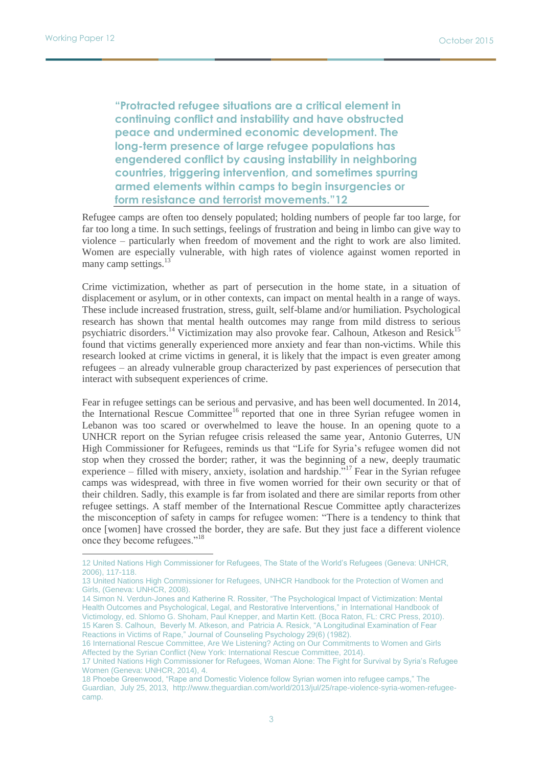$\overline{a}$ 

**"Protracted refugee situations are a critical element in continuing conflict and instability and have obstructed peace and undermined economic development. The long-term presence of large refugee populations has engendered conflict by causing instability in neighboring countries, triggering intervention, and sometimes spurring armed elements within camps to begin insurgencies or form resistance and terrorist movements."12**

Refugee camps are often too densely populated; holding numbers of people far too large, for far too long a time. In such settings, feelings of frustration and being in limbo can give way to violence – particularly when freedom of movement and the right to work are also limited. Women are especially vulnerable, with high rates of violence against women reported in many camp settings.<sup>13</sup>

Crime victimization, whether as part of persecution in the home state, in a situation of displacement or asylum, or in other contexts, can impact on mental health in a range of ways. These include increased frustration, stress, guilt, self-blame and/or humiliation. Psychological research has shown that mental health outcomes may range from mild distress to serious psychiatric disorders.<sup>14</sup> Victimization may also provoke fear. Calhoun, Atkeson and Resick<sup>15</sup> found that victims generally experienced more anxiety and fear than non-victims. While this research looked at crime victims in general, it is likely that the impact is even greater among refugees – an already vulnerable group characterized by past experiences of persecution that interact with subsequent experiences of crime.

Fear in refugee settings can be serious and pervasive, and has been well documented. In 2014, the International Rescue Committee<sup>16</sup> reported that one in three Syrian refugee women in Lebanon was too scared or overwhelmed to leave the house. In an opening quote to a UNHCR report on the Syrian refugee crisis released the same year, Antonio Guterres, UN High Commissioner for Refugees, reminds us that "Life for Syria's refugee women did not stop when they crossed the border; rather, it was the beginning of a new, deeply traumatic experience – filled with misery, anxiety, isolation and hardship.<sup> $517$ </sup> Fear in the Syrian refugee camps was widespread, with three in five women worried for their own security or that of their children. Sadly, this example is far from isolated and there are similar reports from other refugee settings. A staff member of the International Rescue Committee aptly characterizes the misconception of safety in camps for refugee women: "There is a tendency to think that once [women] have crossed the border, they are safe. But they just face a different violence once they become refugees."<sup>18</sup>

<sup>12</sup> United Nations High Commissioner for Refugees, The State of the World's Refugees (Geneva: UNHCR, 2006), 117-118.

<sup>13</sup> United Nations High Commissioner for Refugees, UNHCR Handbook for the Protection of Women and Girls, (Geneva: UNHCR, 2008).

<sup>14</sup> Simon N. Verdun-Jones and Katherine R. Rossiter, "The Psychological Impact of Victimization: Mental Health Outcomes and Psychological, Legal, and Restorative Interventions," in International Handbook of Victimology, ed. Shlomo G. Shoham, Paul Knepper, and Martin Kett. (Boca Raton, FL: CRC Press, 2010). 15 Karen S. Calhoun, Beverly M. Atkeson, and Patricia A. Resick, "A Longitudinal Examination of Fear Reactions in Victims of Rape," Journal of Counseling Psychology 29(6) (1982).

<sup>16</sup> International Rescue Committee, Are We Listening? Acting on Our Commitments to Women and Girls Affected by the Syrian Conflict (New York: International Rescue Committee, 2014).

<sup>17</sup> United Nations High Commissioner for Refugees, Woman Alone: The Fight for Survival by Syria's Refugee Women (Geneva: UNHCR, 2014), 4.

<sup>18</sup> Phoebe Greenwood, "Rape and Domestic Violence follow Syrian women into refugee camps," The Guardian, July 25, 2013, http://www.theguardian.com/world/2013/jul/25/rape-violence-syria-women-refugeecamp.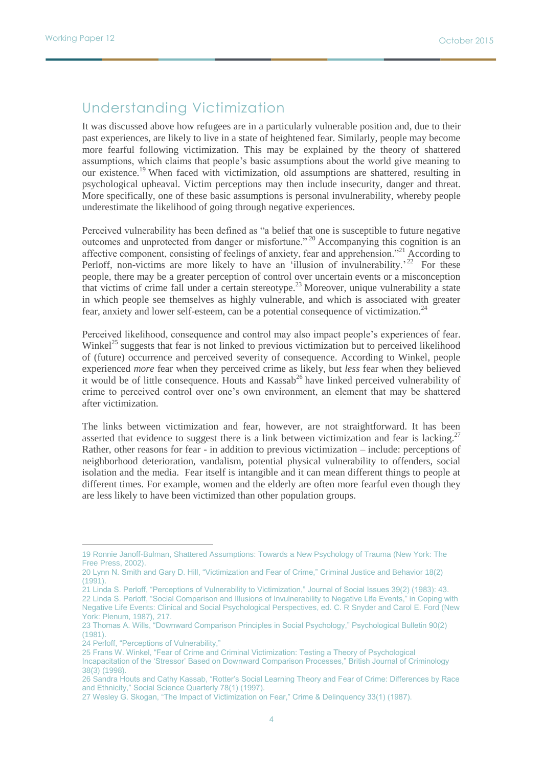# Understanding Victimization

It was discussed above how refugees are in a particularly vulnerable position and, due to their past experiences, are likely to live in a state of heightened fear. Similarly, people may become more fearful following victimization. This may be explained by the theory of shattered assumptions, which claims that people's basic assumptions about the world give meaning to our existence.<sup>19</sup> When faced with victimization, old assumptions are shattered, resulting in psychological upheaval. Victim perceptions may then include insecurity, danger and threat. More specifically, one of these basic assumptions is personal invulnerability, whereby people underestimate the likelihood of going through negative experiences.

Perceived vulnerability has been defined as "a belief that one is susceptible to future negative outcomes and unprotected from danger or misfortune." <sup>20</sup> Accompanying this cognition is an affective component, consisting of feelings of anxiety, fear and apprehension."<sup>21</sup> According to Perloff, non-victims are more likely to have an 'illusion of invulnerability.'<sup>22</sup> For these people, there may be a greater perception of control over uncertain events or a misconception that victims of crime fall under a certain stereotype.<sup>23</sup> Moreover, unique vulnerability a state in which people see themselves as highly vulnerable, and which is associated with greater fear, anxiety and lower self-esteem, can be a potential consequence of victimization.<sup>24</sup>

Perceived likelihood, consequence and control may also impact people's experiences of fear. Winkel<sup>25</sup> suggests that fear is not linked to previous victimization but to perceived likelihood of (future) occurrence and perceived severity of consequence. According to Winkel, people experienced *more* fear when they perceived crime as likely, but *less* fear when they believed it would be of little consequence. Houts and Kassab<sup>26</sup> have linked perceived vulnerability of crime to perceived control over one's own environment, an element that may be shattered after victimization.

The links between victimization and fear, however, are not straightforward. It has been asserted that evidence to suggest there is a link between victimization and fear is lacking.<sup>27</sup> Rather, other reasons for fear - in addition to previous victimization – include: perceptions of neighborhood deterioration, vandalism, potential physical vulnerability to offenders, social isolation and the media. Fear itself is intangible and it can mean different things to people at different times. For example, women and the elderly are often more fearful even though they are less likely to have been victimized than other population groups.

21 Linda S. Perloff, "Perceptions of Vulnerability to Victimization," Journal of Social Issues 39(2) (1983): 43. 22 Linda S. Perloff, "Social Comparison and Illusions of Invulnerability to Negative Life Events," in Coping with Negative Life Events: Clinical and Social Psychological Perspectives, ed. C. R Snyder and Carol E. Ford (New York: Plenum, 1987), 217.

24 Perloff, "Perceptions of Vulnerability,"

<sup>19</sup> Ronnie Janoff-Bulman, Shattered Assumptions: Towards a New Psychology of Trauma (New York: The Free Press, 2002).

<sup>20</sup> Lynn N. Smith and Gary D. Hill, "Victimization and Fear of Crime," Criminal Justice and Behavior 18(2) (1991).

<sup>23</sup> Thomas A. Wills, "Downward Comparison Principles in Social Psychology," Psychological Bulletin 90(2) (1981).

<sup>25</sup> Frans W. Winkel, "Fear of Crime and Criminal Victimization: Testing a Theory of Psychological

Incapacitation of the 'Stressor' Based on Downward Comparison Processes," British Journal of Criminology 38(3) (1998).

<sup>26</sup> Sandra Houts and Cathy Kassab, "Rotter's Social Learning Theory and Fear of Crime: Differences by Race and Ethnicity," Social Science Quarterly 78(1) (1997).

<sup>27</sup> Wesley G. Skogan, "The Impact of Victimization on Fear," Crime & Delinquency 33(1) (1987).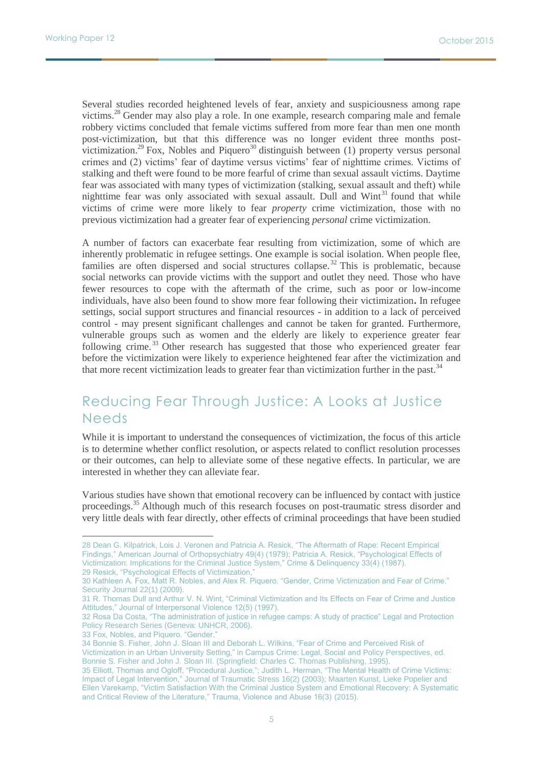Several studies recorded heightened levels of fear, anxiety and suspiciousness among rape victims.<sup>28</sup> Gender may also play a role. In one example, research comparing male and female robbery victims concluded that female victims suffered from more fear than men one month post-victimization, but that this difference was no longer evident three months postvictimization.<sup>29</sup> Fox, Nobles and Piquero<sup>30</sup> distinguish between (1) property versus personal crimes and (2) victims' fear of daytime versus victims' fear of nighttime crimes. Victims of stalking and theft were found to be more fearful of crime than sexual assault victims. Daytime fear was associated with many types of victimization (stalking, sexual assault and theft) while nighttime fear was only associated with sexual assault. Dull and  $Wint<sup>31</sup>$  found that while victims of crime were more likely to fear *property* crime victimization, those with no previous victimization had a greater fear of experiencing *personal* crime victimization.

A number of factors can exacerbate fear resulting from victimization, some of which are inherently problematic in refugee settings. One example is social isolation. When people flee, families are often dispersed and social structures collapse.<sup>32</sup> This is problematic, because social networks can provide victims with the support and outlet they need. Those who have fewer resources to cope with the aftermath of the crime, such as poor or low-income individuals, have also been found to show more fear following their victimization**.** In refugee settings, social support structures and financial resources - in addition to a lack of perceived control - may present significant challenges and cannot be taken for granted. Furthermore, vulnerable groups such as women and the elderly are likely to experience greater fear following crime.<sup>33</sup> Other research has suggested that those who experienced greater fear before the victimization were likely to experience heightened fear after the victimization and that more recent victimization leads to greater fear than victimization further in the past.<sup>34</sup>

# Reducing Fear Through Justice: A Looks at Justice Needs

While it is important to understand the consequences of victimization, the focus of this article is to determine whether conflict resolution, or aspects related to conflict resolution processes or their outcomes, can help to alleviate some of these negative effects. In particular, we are interested in whether they can alleviate fear.

Various studies have shown that emotional recovery can be influenced by contact with justice proceedings.<sup>35</sup> Although much of this research focuses on post-traumatic stress disorder and very little deals with fear directly, other effects of criminal proceedings that have been studied

<sup>28</sup> Dean G. Kilpatrick, Lois J. Veronen and Patricia A. Resick, "The Aftermath of Rape: Recent Empirical Findings," American Journal of Orthopsychiatry 49(4) (1979); Patricia A. Resick, "Psychological Effects of Victimization: Implications for the Criminal Justice System," Crime & Delinquency 33(4) (1987). 29 Resick, "Psychological Effects of Victimization,

<sup>30</sup> Kathleen A. Fox, Matt R. Nobles, and Alex R. Piquero. "Gender, Crime Victimization and Fear of Crime." Security Journal 22(1) (2009).

<sup>31</sup> R. Thomas Dull and Arthur V. N. Wint, "Criminal Victimization and Its Effects on Fear of Crime and Justice Attitudes," Journal of Interpersonal Violence 12(5) (1997).

<sup>32</sup> Rosa Da Costa, "The administration of justice in refugee camps: A study of practice" Legal and Protection Policy Research Series (Geneva: UNHCR, 2006).

<sup>33</sup> Fox, Nobles, and Piquero. "Gender,"

<sup>34</sup> Bonnie S. Fisher, John J. Sloan III and Deborah L. Wilkins, "Fear of Crime and Perceived Risk of Victimization in an Urban University Setting," in Campus Crime: Legal, Social and Policy Perspectives, ed. Bonnie S. Fisher and John J. Sloan III. (Springfield: Charles C. Thomas Publishing, 1995).

<sup>35</sup> Elliott, Thomas and Ogloff, "Procedural Justice,"; Judith L. Herman, "The Mental Health of Crime Victims: Impact of Legal Intervention," Journal of Traumatic Stress 16(2) (2003); Maarten Kunst, Lieke Popelier and Ellen Varekamp, "Victim Satisfaction With the Criminal Justice System and Emotional Recovery: A Systematic and Critical Review of the Literature," Trauma, Violence and Abuse 16(3) (2015).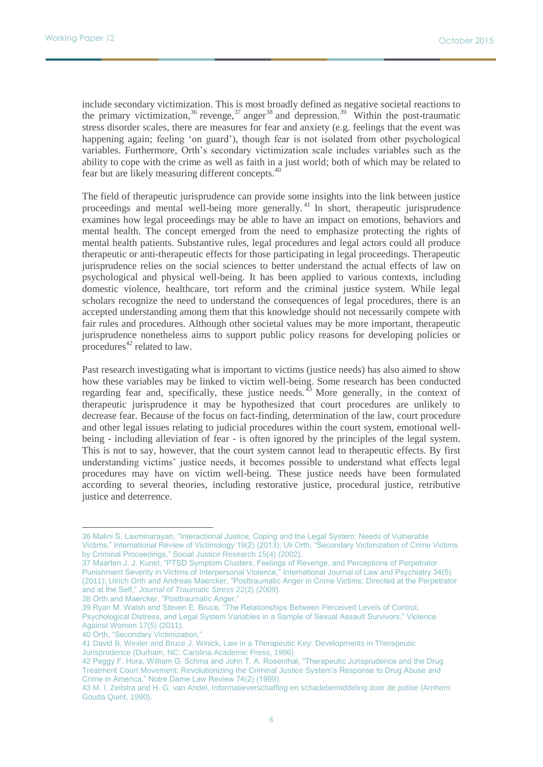include secondary victimization. This is most broadly defined as negative societal reactions to the primary victimization,<sup>36</sup> revenge,<sup>37</sup> anger<sup>38</sup> and depression.<sup>39</sup> Within the post-traumatic stress disorder scales, there are measures for fear and anxiety (e.g. feelings that the event was happening again; feeling 'on guard'), though fear is not isolated from other psychological variables. Furthermore, Orth's secondary victimization scale includes variables such as the ability to cope with the crime as well as faith in a just world; both of which may be related to fear but are likely measuring different concepts.<sup>40</sup>

The field of therapeutic jurisprudence can provide some insights into the link between justice proceedings and mental well-being more generally.<sup>41</sup> In short, therapeutic jurisprudence examines how legal proceedings may be able to have an impact on emotions, behaviors and mental health. The concept emerged from the need to emphasize protecting the rights of mental health patients. Substantive rules, legal procedures and legal actors could all produce therapeutic or anti-therapeutic effects for those participating in legal proceedings. Therapeutic jurisprudence relies on the social sciences to better understand the actual effects of law on psychological and physical well-being. It has been applied to various contexts, including domestic violence, healthcare, tort reform and the criminal justice system. While legal scholars recognize the need to understand the consequences of legal procedures, there is an accepted understanding among them that this knowledge should not necessarily compete with fair rules and procedures. Although other societal values may be more important, therapeutic jurisprudence nonetheless aims to support public policy reasons for developing policies or procedures $42$  related to law.

Past research investigating what is important to victims (justice needs) has also aimed to show how these variables may be linked to victim well-being. Some research has been conducted regarding fear and, specifically, these justice needs.  $43$  More generally, in the context of therapeutic jurisprudence it may be hypothesized that court procedures are unlikely to decrease fear. Because of the focus on fact-finding, determination of the law, court procedure and other legal issues relating to judicial procedures within the court system, emotional wellbeing - including alleviation of fear - is often ignored by the principles of the legal system. This is not to say, however, that the court system cannot lead to therapeutic effects. By first understanding victims' justice needs, it becomes possible to understand what effects legal procedures may have on victim well-being. These justice needs have been formulated according to several theories, including restorative justice, procedural justice, retributive justice and deterrence.

38 Orth and Maercker, "Posttraumatic Anger,"

<sup>36</sup> Malini S. Laxminarayan, "Interactional Justice, Coping and the Legal System: Needs of Vulnerable Victims," International Review of Victimology 19(2) (2013); Uli Orth, "Secondary Victimization of Crime Victims by Criminal Proceedings," Social Justice Research 15(4) (2002).

<sup>37</sup> Maarten J. J. Kunst, "PTSD Symptom Clusters, Feelings of Revenge, and Perceptions of Perpetrator Punishment Severity in Victims of Interpersonal Violence," International Journal of Law and Psychiatry 34(5) (2011); Ulrich Orth and Andreas Maercker, "Posttraumatic Anger in Crime Victims: Directed at the Perpetrator and at the Self," *Journal of Traumatic Stress* 22(2) (2009).

<sup>39</sup> Ryan M. Walsh and Steven E. Bruce, "The Relationships Between Perceived Levels of Control, Psychological Distress, and Legal System Variables in a Sample of Sexual Assault Survivors," Violence Against Women 17(5) (2011).

<sup>40</sup> Orth, "Secondary Victimization,"

<sup>41</sup> David B. Wexler and Bruce J. Winick, Law in a Therapeutic Key: Developments in Therapeutic Jurisprudence (Durham, NC: Carolina Academic Press, 1996).

<sup>42</sup> Peggy F. Hora, William G. Schma and John T. A. Rosenthal, "Therapeutic Jurisprudence and the Drug Treatment Court Movement: Revolutionizing the Criminal Justice System's Response to Drug Abuse and Crime in America," Notre Dame Law Review 74(2) (1999).

<sup>43</sup> M. I. Zeilstra and H. G. van Andel, Informatieverschaffing en schadebemiddeling door de politie (Arnhem: Gouda Quint, 1990).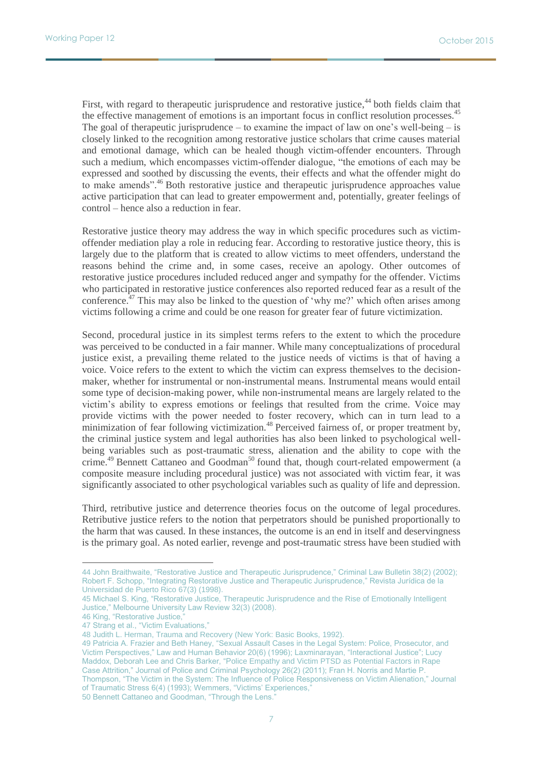First, with regard to therapeutic jurisprudence and restorative justice,<sup>44</sup> both fields claim that the effective management of emotions is an important focus in conflict resolution processes.<sup>45</sup> The goal of therapeutic jurisprudence – to examine the impact of law on one's well-being – is closely linked to the recognition among restorative justice scholars that crime causes material and emotional damage, which can be healed though victim-offender encounters. Through such a medium, which encompasses victim-offender dialogue, "the emotions of each may be expressed and soothed by discussing the events, their effects and what the offender might do to make amends".<sup>46</sup> Both restorative justice and therapeutic jurisprudence approaches value active participation that can lead to greater empowerment and, potentially, greater feelings of control – hence also a reduction in fear.

Restorative justice theory may address the way in which specific procedures such as victimoffender mediation play a role in reducing fear. According to restorative justice theory, this is largely due to the platform that is created to allow victims to meet offenders, understand the reasons behind the crime and, in some cases, receive an apology. Other outcomes of restorative justice procedures included reduced anger and sympathy for the offender. Victims who participated in restorative justice conferences also reported reduced fear as a result of the conference.<sup> $37$ </sup> This may also be linked to the question of 'why me?' which often arises among victims following a crime and could be one reason for greater fear of future victimization.

Second, procedural justice in its simplest terms refers to the extent to which the procedure was perceived to be conducted in a fair manner. While many conceptualizations of procedural justice exist, a prevailing theme related to the justice needs of victims is that of having a voice. Voice refers to the extent to which the victim can express themselves to the decisionmaker, whether for instrumental or non-instrumental means. Instrumental means would entail some type of decision-making power, while non-instrumental means are largely related to the victim's ability to express emotions or feelings that resulted from the crime. Voice may provide victims with the power needed to foster recovery, which can in turn lead to a minimization of fear following victimization.<sup>48</sup> Perceived fairness of, or proper treatment by, the criminal justice system and legal authorities has also been linked to psychological wellbeing variables such as post-traumatic stress, alienation and the ability to cope with the crime.<sup>49</sup> Bennett Cattaneo and Goodman<sup>50</sup> found that, though court-related empowerment (a composite measure including procedural justice) was not associated with victim fear, it was significantly associated to other psychological variables such as quality of life and depression.

Third, retributive justice and deterrence theories focus on the outcome of legal procedures. Retributive justice refers to the notion that perpetrators should be punished proportionally to the harm that was caused. In these instances, the outcome is an end in itself and deservingness is the primary goal. As noted earlier, revenge and post-traumatic stress have been studied with

 $\overline{a}$ 

50 Bennett Cattaneo and Goodman, "Through the Lens."

<sup>44</sup> John Braithwaite, "Restorative Justice and Therapeutic Jurisprudence," Criminal Law Bulletin 38(2) (2002); Robert F. Schopp, "Integrating Restorative Justice and Therapeutic Jurisprudence," Revista Jurídica de la Universidad de Puerto Rico 67(3) (1998).

<sup>45</sup> Michael S. King, "Restorative Justice, Therapeutic Jurisprudence and the Rise of Emotionally Intelligent Justice," Melbourne University Law Review 32(3) (2008).

<sup>46</sup> King, "Restorative Justice,"

<sup>47</sup> Strang et al., "Victim Evaluations,"

<sup>48</sup> Judith L. Herman, Trauma and Recovery (New York: Basic Books, 1992).

<sup>49</sup> Patricia A. Frazier and Beth Haney, "Sexual Assault Cases in the Legal System: Police, Prosecutor, and Victim Perspectives," Law and Human Behavior 20(6) (1996); Laxminarayan, "Interactional Justice"; Lucy Maddox, Deborah Lee and Chris Barker, "Police Empathy and Victim PTSD as Potential Factors in Rape Case Attrition," Journal of Police and Criminal Psychology 26(2) (2011); Fran H. Norris and Martie P. Thompson, "The Victim in the System: The Influence of Police Responsiveness on Victim Alienation," Journal of Traumatic Stress 6(4) (1993); Wemmers, "Victims' Experiences,"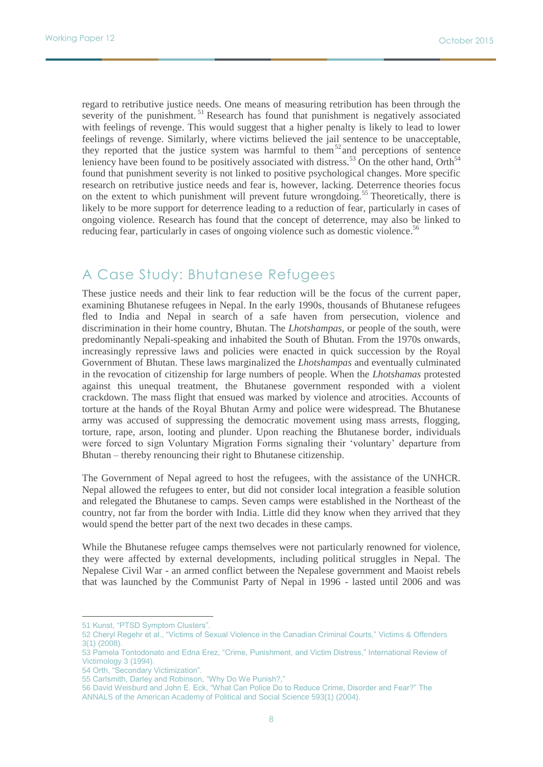regard to retributive justice needs. One means of measuring retribution has been through the severity of the punishment.<sup>51</sup> Research has found that punishment is negatively associated with feelings of revenge. This would suggest that a higher penalty is likely to lead to lower feelings of revenge. Similarly, where victims believed the jail sentence to be unacceptable, they reported that the justice system was harmful to them<sup>52</sup> and perceptions of sentence leniency have been found to be positively associated with distress.<sup>53</sup> On the other hand, Orth<sup>54</sup> found that punishment severity is not linked to positive psychological changes. More specific research on retributive justice needs and fear is, however, lacking. Deterrence theories focus on the extent to which punishment will prevent future wrongdoing.<sup>55</sup> Theoretically, there is likely to be more support for deterrence leading to a reduction of fear, particularly in cases of ongoing violence. Research has found that the concept of deterrence, may also be linked to reducing fear, particularly in cases of ongoing violence such as domestic violence.<sup>56</sup>

# A Case Study: Bhutanese Refugees

These justice needs and their link to fear reduction will be the focus of the current paper, examining Bhutanese refugees in Nepal. In the early 1990s, thousands of Bhutanese refugees fled to India and Nepal in search of a safe haven from persecution, violence and discrimination in their home country, Bhutan. The *Lhotshampas,* or people of the south, were predominantly Nepali-speaking and inhabited the South of Bhutan. From the 1970s onwards, increasingly repressive laws and policies were enacted in quick succession by the Royal Government of Bhutan. These laws marginalized the *Lhotshampas* and eventually culminated in the revocation of citizenship for large numbers of people. When the *Lhotshamas* protested against this unequal treatment, the Bhutanese government responded with a violent crackdown. The mass flight that ensued was marked by violence and atrocities. Accounts of torture at the hands of the Royal Bhutan Army and police were widespread. The Bhutanese army was accused of suppressing the democratic movement using mass arrests, flogging, torture, rape, arson, looting and plunder. Upon reaching the Bhutanese border, individuals were forced to sign Voluntary Migration Forms signaling their 'voluntary' departure from Bhutan – thereby renouncing their right to Bhutanese citizenship.

The Government of Nepal agreed to host the refugees, with the assistance of the UNHCR. Nepal allowed the refugees to enter, but did not consider local integration a feasible solution and relegated the Bhutanese to camps. Seven camps were established in the Northeast of the country, not far from the border with India. Little did they know when they arrived that they would spend the better part of the next two decades in these camps.

While the Bhutanese refugee camps themselves were not particularly renowned for violence, they were affected by external developments, including political struggles in Nepal. The Nepalese Civil War - an armed conflict between the Nepalese government and Maoist rebels that was launched by the Communist Party of Nepal in 1996 - lasted until 2006 and was

<sup>51</sup> Kunst, "PTSD Symptom Clusters".

<sup>52</sup> Cheryl Regehr et al., "Victims of Sexual Violence in the Canadian Criminal Courts," Victims & Offenders 3(1) (2008).

<sup>53</sup> Pamela Tontodonato and Edna Erez, "Crime, Punishment, and Victim Distress," International Review of Victimology 3 (1994).

<sup>54</sup> Orth, "Secondary Victimization".

<sup>55</sup> Carlsmith, Darley and Robinson, "Why Do We Punish?,"

<sup>56</sup> David Weisburd and John E. Eck, "What Can Police Do to Reduce Crime, Disorder and Fear?" The ANNALS of the American Academy of Political and Social Science 593(1) (2004).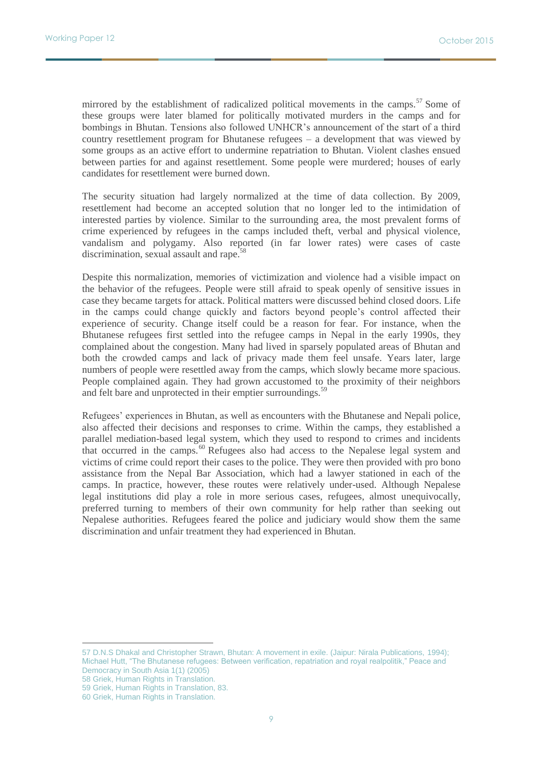mirrored by the establishment of radicalized political movements in the camps.<sup>57</sup> Some of these groups were later blamed for politically motivated murders in the camps and for bombings in Bhutan. Tensions also followed UNHCR's announcement of the start of a third country resettlement program for Bhutanese refugees – a development that was viewed by some groups as an active effort to undermine repatriation to Bhutan. Violent clashes ensued between parties for and against resettlement. Some people were murdered; houses of early candidates for resettlement were burned down.

The security situation had largely normalized at the time of data collection. By 2009, resettlement had become an accepted solution that no longer led to the intimidation of interested parties by violence. Similar to the surrounding area, the most prevalent forms of crime experienced by refugees in the camps included theft, verbal and physical violence, vandalism and polygamy. Also reported (in far lower rates) were cases of caste discrimination, sexual assault and rape.<sup>5</sup>

Despite this normalization, memories of victimization and violence had a visible impact on the behavior of the refugees. People were still afraid to speak openly of sensitive issues in case they became targets for attack. Political matters were discussed behind closed doors. Life in the camps could change quickly and factors beyond people's control affected their experience of security. Change itself could be a reason for fear. For instance, when the Bhutanese refugees first settled into the refugee camps in Nepal in the early 1990s, they complained about the congestion. Many had lived in sparsely populated areas of Bhutan and both the crowded camps and lack of privacy made them feel unsafe. Years later, large numbers of people were resettled away from the camps, which slowly became more spacious. People complained again. They had grown accustomed to the proximity of their neighbors and felt bare and unprotected in their emptier surroundings.<sup>59</sup>

Refugees' experiences in Bhutan, as well as encounters with the Bhutanese and Nepali police, also affected their decisions and responses to crime. Within the camps, they established a parallel mediation-based legal system, which they used to respond to crimes and incidents that occurred in the camps.<sup>60</sup> Refugees also had access to the Nepalese legal system and victims of crime could report their cases to the police. They were then provided with pro bono assistance from the Nepal Bar Association, which had a lawyer stationed in each of the camps. In practice, however, these routes were relatively under-used. Although Nepalese legal institutions did play a role in more serious cases, refugees, almost unequivocally, preferred turning to members of their own community for help rather than seeking out Nepalese authorities. Refugees feared the police and judiciary would show them the same discrimination and unfair treatment they had experienced in Bhutan.

57 D.N.S Dhakal and Christopher Strawn, Bhutan: A movement in exile. (Jaipur: Nirala Publications, 1994); Michael Hutt, "The Bhutanese refugees: Between verification, repatriation and royal realpolitik," Peace and Democracy in South Asia 1(1) (2005)

58 Griek, Human Rights in Translation.

<sup>59</sup> Griek, Human Rights in Translation, 83.

<sup>60</sup> Griek, Human Rights in Translation.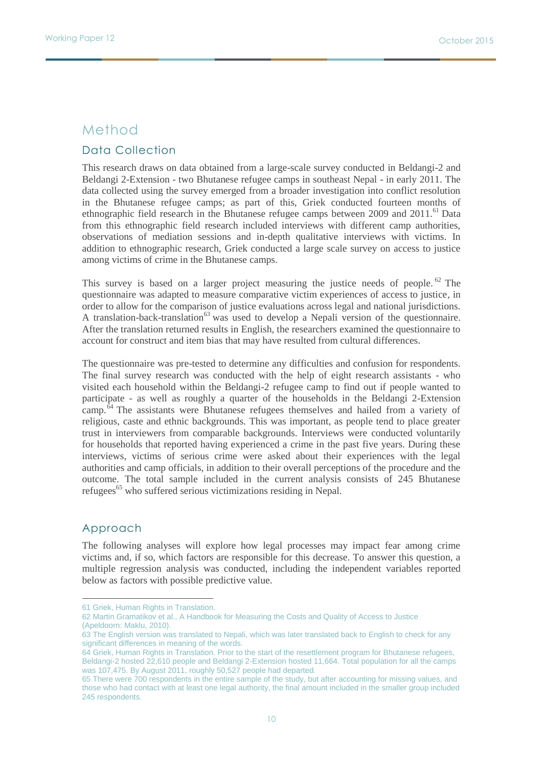## Method

## Data Collection

This research draws on data obtained from a large-scale survey conducted in Beldangi-2 and Beldangi 2-Extension - two Bhutanese refugee camps in southeast Nepal - in early 2011. The data collected using the survey emerged from a broader investigation into conflict resolution in the Bhutanese refugee camps; as part of this, Griek conducted fourteen months of ethnographic field research in the Bhutanese refugee camps between 2009 and 2011.<sup>61</sup> Data from this ethnographic field research included interviews with different camp authorities, observations of mediation sessions and in-depth qualitative interviews with victims. In addition to ethnographic research, Griek conducted a large scale survey on access to justice among victims of crime in the Bhutanese camps.

This survey is based on a larger project measuring the justice needs of people.<sup>62</sup> The questionnaire was adapted to measure comparative victim experiences of access to justice, in order to allow for the comparison of justice evaluations across legal and national jurisdictions. A translation-back-translation<sup>63</sup> was used to develop a Nepali version of the questionnaire. After the translation returned results in English, the researchers examined the questionnaire to account for construct and item bias that may have resulted from cultural differences.

The questionnaire was pre-tested to determine any difficulties and confusion for respondents. The final survey research was conducted with the help of eight research assistants - who visited each household within the Beldangi-2 refugee camp to find out if people wanted to participate - as well as roughly a quarter of the households in the Beldangi 2-Extension camp. $\frac{64}{1}$  The assistants were Bhutanese refugees themselves and hailed from a variety of religious, caste and ethnic backgrounds. This was important, as people tend to place greater trust in interviewers from comparable backgrounds. Interviews were conducted voluntarily for households that reported having experienced a crime in the past five years. During these interviews, victims of serious crime were asked about their experiences with the legal authorities and camp officials, in addition to their overall perceptions of the procedure and the outcome. The total sample included in the current analysis consists of 245 Bhutanese refugees<sup>65</sup> who suffered serious victimizations residing in Nepal.

## Approach

 $\overline{a}$ 

The following analyses will explore how legal processes may impact fear among crime victims and, if so, which factors are responsible for this decrease. To answer this question, a multiple regression analysis was conducted, including the independent variables reported below as factors with possible predictive value.

<sup>61</sup> Griek, Human Rights in Translation.

<sup>62</sup> Martin Gramatikov et al., A Handbook for Measuring the Costs and Quality of Access to Justice (Apeldoorn: Maklu, 2010).

<sup>63</sup> The English version was translated to Nepali, which was later translated back to English to check for any significant differences in meaning of the words.

<sup>64</sup> Griek, Human Rights in Translation. Prior to the start of the resettlement program for Bhutanese refugees, Beldangi-2 hosted 22,610 people and Beldangi 2-Extension hosted 11,664. Total population for all the camps was 107,475. By August 2011, roughly 50,527 people had departed.

<sup>65</sup> There were 700 respondents in the entire sample of the study, but after accounting for missing values, and those who had contact with at least one legal authority, the final amount included in the smaller group included 245 respondents.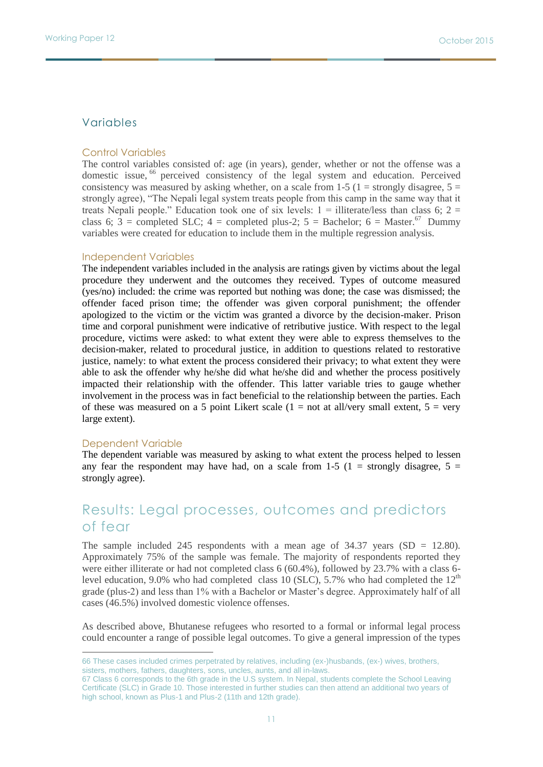### Variables

#### Control Variables

The control variables consisted of: age (in years), gender, whether or not the offense was a domestic issue, <sup>66</sup> perceived consistency of the legal system and education. Perceived consistency was measured by asking whether, on a scale from 1-5 (1 = strongly disagree,  $5 =$ strongly agree), "The Nepali legal system treats people from this camp in the same way that it treats Nepali people." Education took one of six levels:  $1 =$  illiterate/less than class 6;  $2 =$ class 6;  $\hat{3}$  = completed SLC; 4 = completed plus-2; 5 = Bachelor; 6 = Master.<sup>67</sup> Dummy variables were created for education to include them in the multiple regression analysis.

#### Independent Variables

The independent variables included in the analysis are ratings given by victims about the legal procedure they underwent and the outcomes they received. Types of outcome measured (yes/no) included: the crime was reported but nothing was done; the case was dismissed; the offender faced prison time; the offender was given corporal punishment; the offender apologized to the victim or the victim was granted a divorce by the decision-maker. Prison time and corporal punishment were indicative of retributive justice. With respect to the legal procedure, victims were asked: to what extent they were able to express themselves to the decision-maker, related to procedural justice, in addition to questions related to restorative justice, namely: to what extent the process considered their privacy; to what extent they were able to ask the offender why he/she did what he/she did and whether the process positively impacted their relationship with the offender. This latter variable tries to gauge whether involvement in the process was in fact beneficial to the relationship between the parties. Each of these was measured on a 5 point Likert scale  $(1 = not at all/very small extent, 5 = very$ large extent).

#### Dependent Variable

 $\overline{a}$ 

The dependent variable was measured by asking to what extent the process helped to lessen any fear the respondent may have had, on a scale from 1-5 (1 = strongly disagree,  $5 =$ strongly agree).

## Results: Legal processes, outcomes and predictors of fear

The sample included 245 respondents with a mean age of  $34.37$  years (SD = 12.80). Approximately 75% of the sample was female. The majority of respondents reported they were either illiterate or had not completed class 6 (60.4%), followed by 23.7% with a class 6 level education, 9.0% who had completed class 10 (SLC), 5.7% who had completed the  $12<sup>th</sup>$ grade (plus-2) and less than 1% with a Bachelor or Master's degree. Approximately half of all cases (46.5%) involved domestic violence offenses.

As described above, Bhutanese refugees who resorted to a formal or informal legal process could encounter a range of possible legal outcomes. To give a general impression of the types

<sup>66</sup> These cases included crimes perpetrated by relatives, including (ex-)husbands, (ex-) wives, brothers, sisters, mothers, fathers, daughters, sons, uncles, aunts, and all in-laws.

<sup>67</sup> Class 6 corresponds to the 6th grade in the U.S system. In Nepal, students complete the School Leaving Certificate (SLC) in Grade 10. Those interested in further studies can then attend an additional two years of high school, known as Plus-1 and Plus-2 (11th and 12th grade).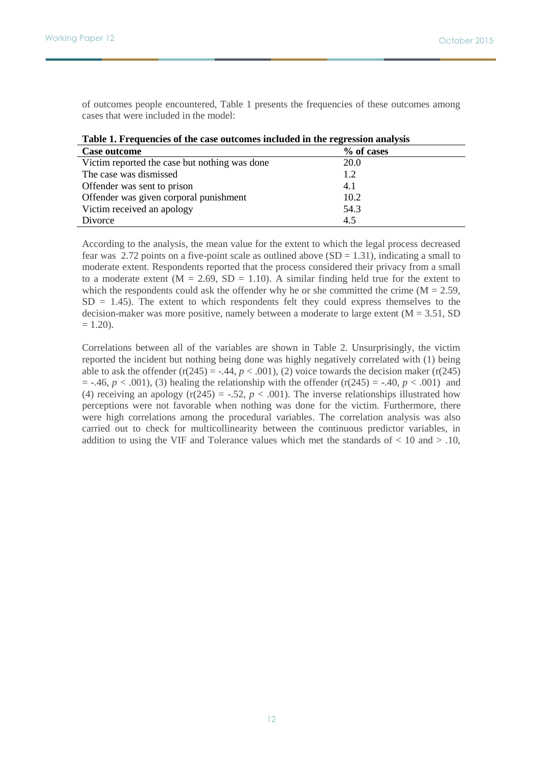of outcomes people encountered, Table 1 presents the frequencies of these outcomes among cases that were included in the model:

| <b>Case outcome</b>                           | % of cases  |  |
|-----------------------------------------------|-------------|--|
| Victim reported the case but nothing was done | <b>20.0</b> |  |
| The case was dismissed                        | 1.2         |  |
| Offender was sent to prison                   | 4.1         |  |
| Offender was given corporal punishment        | 10.2        |  |
| Victim received an apology                    | 54.3        |  |
| Divorce                                       | 4.5         |  |

|  |  | Table 1. Frequencies of the case outcomes included in the regression analysis |
|--|--|-------------------------------------------------------------------------------|

According to the analysis, the mean value for the extent to which the legal process decreased fear was 2.72 points on a five-point scale as outlined above  $(SD = 1.31)$ , indicating a small to moderate extent. Respondents reported that the process considered their privacy from a small to a moderate extent  $(M = 2.69, SD = 1.10)$ . A similar finding held true for the extent to which the respondents could ask the offender why he or she committed the crime ( $M = 2.59$ ,  $SD = 1.45$ ). The extent to which respondents felt they could express themselves to the decision-maker was more positive, namely between a moderate to large extent  $(M = 3.51, SD)$  $= 1.20$ ).

Correlations between all of the variables are shown in Table 2. Unsurprisingly, the victim reported the incident but nothing being done was highly negatively correlated with (1) being able to ask the offender  $(r(245) = -0.44, p < 0.001)$ , (2) voice towards the decision maker  $(r(245)$  $= -.46, p < .001$ , (3) healing the relationship with the offender (r(245) = -.40,  $p < .001$ ) and (4) receiving an apology ( $r(245) = -.52$ ,  $p < .001$ ). The inverse relationships illustrated how perceptions were not favorable when nothing was done for the victim. Furthermore, there were high correlations among the procedural variables. The correlation analysis was also carried out to check for multicollinearity between the continuous predictor variables, in addition to using the VIF and Tolerance values which met the standards of  $< 10$  and  $> 0.10$ ,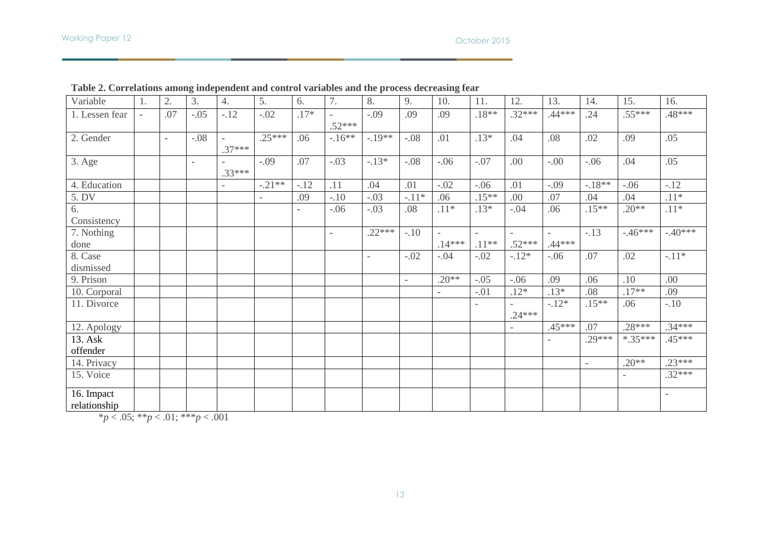#### October 2015

| Variable                   | 1.                       | 2.                       | 3.                       | 4.                       | 5.                       | 6.     | 7.                       | 8.                       | 9.                       | 10.                                  | 11.                      | 12.      | 13.               | 14.      | 15.      | 16.                      |
|----------------------------|--------------------------|--------------------------|--------------------------|--------------------------|--------------------------|--------|--------------------------|--------------------------|--------------------------|--------------------------------------|--------------------------|----------|-------------------|----------|----------|--------------------------|
| 1. Lessen fear             | $\overline{\phantom{a}}$ | .07                      | $-.05$                   | $-.12$                   | $-.02$                   | $.17*$ | $.52***$                 | $-.09$                   | .09                      | .09                                  | $.18**$                  | $.32***$ | $.44***$          | .24      | $.55***$ | .48***                   |
| 2. Gender                  |                          | $\overline{\phantom{a}}$ | $-.08$                   | $.37***$                 | $.25***$                 | .06    | $-16**$                  | $-.19**$                 | $-.08$                   | .01                                  | $.13*$                   | .04      | .08               | .02      | .09      | .05                      |
| 3. Age                     |                          |                          | $\overline{\phantom{a}}$ | $.33***$                 | $-.09$                   | .07    | $-.03$                   | $-.13*$                  | $-.08$                   | $-.06$                               | $-.07$                   | .00      | $-.00$            | $-.06$   | .04      | .05                      |
| 4. Education               |                          |                          |                          | $\overline{\phantom{a}}$ | $-.21**$                 | $-.12$ | .11                      | .04                      | .01                      | $-.02$                               | $-.06$                   | .01      | $-.09$            | $-18**$  | $-.06$   | $-.12$                   |
| 5. DV                      |                          |                          |                          |                          | $\overline{\phantom{a}}$ | .09    | $-.10$                   | $-.03$                   | $-.11*$                  | .06                                  | $.15***$                 | .00      | .07               | .04      | .04      | $.11*$                   |
| 6.<br>Consistency          |                          |                          |                          |                          |                          |        | $-.06$                   | $-.03$                   | .08                      | $.11*$                               | $.13*$                   | $-.04$   | .06               | $.15***$ | $.20**$  | $.11*$                   |
| 7. Nothing<br>done         |                          |                          |                          |                          |                          |        | $\overline{\phantom{a}}$ | $.22***$                 | $-.10$                   | $\overline{\phantom{a}}$<br>$.14***$ | $.11**$                  | $.52***$ | $.44***$          | $-13$    | $-46***$ | $-.40***$                |
| 8. Case<br>dismissed       |                          |                          |                          |                          |                          |        |                          | $\overline{\phantom{a}}$ | $-.02$                   | $-.04$                               | $-.02$                   | $-12*$   | $-.06$            | .07      | .02      | $-.11*$                  |
| 9. Prison                  |                          |                          |                          |                          |                          |        |                          |                          | $\overline{\phantom{a}}$ | $.20**$                              | $-.05$                   | $-.06$   | .09               | .06      | .10      | .00                      |
| 10. Corporal               |                          |                          |                          |                          |                          |        |                          |                          |                          |                                      | $-.01$                   | $.12*$   | $.13*$            | .08      | $.17**$  | .09                      |
| 11. Divorce                |                          |                          |                          |                          |                          |        |                          |                          |                          |                                      | $\overline{\phantom{a}}$ | $.24***$ | $-.12*$           | $.15**$  | .06      | $-.10$                   |
| 12. Apology                |                          |                          |                          |                          |                          |        |                          |                          |                          |                                      |                          |          | $.45***$          | .07      | $.28***$ | $.34***$                 |
| 13. Ask<br>offender        |                          |                          |                          |                          |                          |        |                          |                          |                          |                                      |                          |          | $\qquad \qquad -$ | $.29***$ | $*35***$ | $.45***$                 |
| 14. Privacy                |                          |                          |                          |                          |                          |        |                          |                          |                          |                                      |                          |          |                   |          | $.20**$  | $.23***$                 |
| 15. Voice                  |                          |                          |                          |                          |                          |        |                          |                          |                          |                                      |                          |          |                   |          |          | $.32***$                 |
| 16. Impact<br>relationship |                          |                          |                          |                          |                          |        |                          |                          |                          |                                      |                          |          |                   |          |          | $\overline{\phantom{a}}$ |

**Table 2. Correlations among independent and control variables and the process decreasing fear**

\**p* < .05; \*\**p* < .01; \*\*\**p* < .001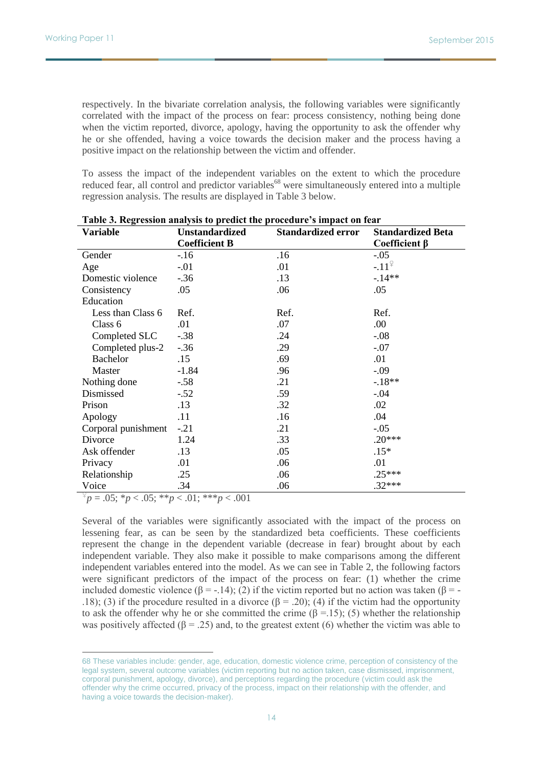respectively. In the bivariate correlation analysis, the following variables were significantly correlated with the impact of the process on fear: process consistency, nothing being done when the victim reported, divorce, apology, having the opportunity to ask the offender why he or she offended, having a voice towards the decision maker and the process having a positive impact on the relationship between the victim and offender.

To assess the impact of the independent variables on the extent to which the procedure reduced fear, all control and predictor variables<sup>68</sup> were simultaneously entered into a multiple regression analysis. The results are displayed in Table 3 below.

| Variable            | <b>Unstandardized</b> | <b>Standardized error</b> | <b>Standardized Beta</b> |
|---------------------|-----------------------|---------------------------|--------------------------|
|                     | <b>Coefficient B</b>  |                           | Coefficient $\beta$      |
| Gender              | $-16$                 | .16                       | $-.05$                   |
| Age                 | $-.01$                | .01                       | $-.11^{\frac{\circ}{}}$  |
| Domestic violence   | $-.36$                | .13                       | $-.14**$                 |
| Consistency         | .05                   | .06                       | .05                      |
| Education           |                       |                           |                          |
| Less than Class 6   | Ref.                  | Ref.                      | Ref.                     |
| Class 6             | .01                   | .07                       | .00                      |
| Completed SLC       | $-.38$                | .24                       | $-.08$                   |
| Completed plus-2    | $-.36$                | .29                       | $-.07$                   |
| <b>Bachelor</b>     | .15                   | .69                       | .01                      |
| Master              | $-1.84$               | .96                       | $-.09$                   |
| Nothing done        | $-.58$                | .21                       | $-.18**$                 |
| Dismissed           | $-.52$                | .59                       | $-.04$                   |
| Prison              | .13                   | .32                       | .02                      |
| Apology             | .11                   | .16                       | .04                      |
| Corporal punishment | $-.21$                | .21                       | $-.05$                   |
| Divorce             | 1.24                  | .33                       | $.20***$                 |
| Ask offender        | .13                   | .05                       | $.15*$                   |
| Privacy             | .01                   | .06                       | .01                      |
| Relationship        | .25                   | .06                       | $.25***$                 |
| Voice               | .34                   | .06                       | $.32***$                 |

| Table 3. Regression analysis to predict the procedure's impact on fear |  |  |
|------------------------------------------------------------------------|--|--|
|                                                                        |  |  |

 $\frac{p}{p} = .05; *p < .05; **p < .01; ***p < .001$ 

 $\overline{a}$ 

Several of the variables were significantly associated with the impact of the process on lessening fear, as can be seen by the standardized beta coefficients. These coefficients represent the change in the dependent variable (decrease in fear) brought about by each independent variable. They also make it possible to make comparisons among the different independent variables entered into the model. As we can see in Table 2, the following factors were significant predictors of the impact of the process on fear: (1) whether the crime included domestic violence ( $\beta = -14$ ); (2) if the victim reported but no action was taken ( $\beta = -14$ ). .18); (3) if the procedure resulted in a divorce (β = .20); (4) if the victim had the opportunity to ask the offender why he or she committed the crime  $(\beta = 15)$ ; (5) whether the relationship was positively affected  $(\beta = .25)$  and, to the greatest extent (6) whether the victim was able to

<sup>68</sup> These variables include: gender, age, education, domestic violence crime, perception of consistency of the legal system, several outcome variables (victim reporting but no action taken, case dismissed, imprisonment, corporal punishment, apology, divorce), and perceptions regarding the procedure (victim could ask the offender why the crime occurred, privacy of the process, impact on their relationship with the offender, and having a voice towards the decision-maker).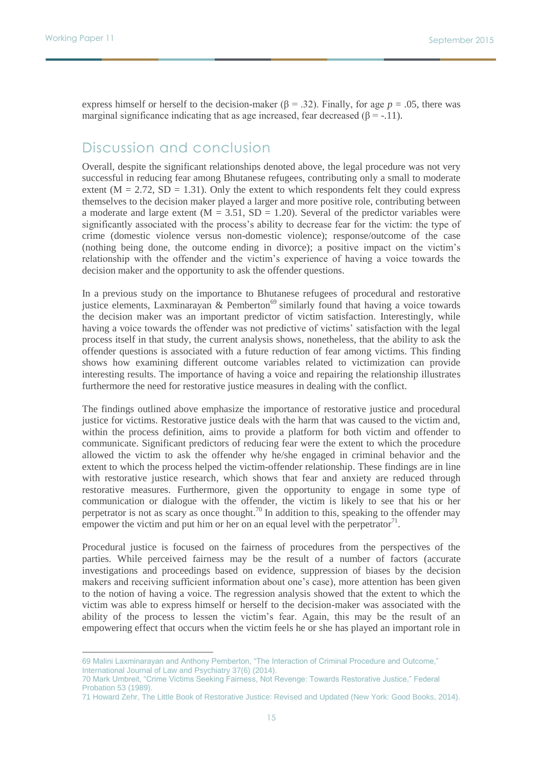$\overline{a}$ 

express himself or herself to the decision-maker  $(β = .32)$ . Finally, for age  $p = .05$ , there was marginal significance indicating that as age increased, fear decreased ( $\beta$  = -.11).

## Discussion and conclusion

Overall, despite the significant relationships denoted above, the legal procedure was not very successful in reducing fear among Bhutanese refugees, contributing only a small to moderate extent ( $M = 2.72$ ,  $SD = 1.31$ ). Only the extent to which respondents felt they could express themselves to the decision maker played a larger and more positive role, contributing between a moderate and large extent  $(M = 3.51, SD = 1.20)$ . Several of the predictor variables were significantly associated with the process's ability to decrease fear for the victim: the type of crime (domestic violence versus non-domestic violence); response/outcome of the case (nothing being done, the outcome ending in divorce); a positive impact on the victim's relationship with the offender and the victim's experience of having a voice towards the decision maker and the opportunity to ask the offender questions.

In a previous study on the importance to Bhutanese refugees of procedural and restorative justice elements, Laxminarayan & Pemberton<sup>69</sup> similarly found that having a voice towards the decision maker was an important predictor of victim satisfaction. Interestingly, while having a voice towards the offender was not predictive of victims' satisfaction with the legal process itself in that study, the current analysis shows, nonetheless, that the ability to ask the offender questions is associated with a future reduction of fear among victims. This finding shows how examining different outcome variables related to victimization can provide interesting results. The importance of having a voice and repairing the relationship illustrates furthermore the need for restorative justice measures in dealing with the conflict.

The findings outlined above emphasize the importance of restorative justice and procedural justice for victims. Restorative justice deals with the harm that was caused to the victim and, within the process definition, aims to provide a platform for both victim and offender to communicate. Significant predictors of reducing fear were the extent to which the procedure allowed the victim to ask the offender why he/she engaged in criminal behavior and the extent to which the process helped the victim-offender relationship. These findings are in line with restorative justice research, which shows that fear and anxiety are reduced through restorative measures. Furthermore, given the opportunity to engage in some type of communication or dialogue with the offender, the victim is likely to see that his or her perpetrator is not as scary as once thought.<sup>70</sup> In addition to this, speaking to the offender may empower the victim and put him or her on an equal level with the perpetrator<sup>71</sup>.

Procedural justice is focused on the fairness of procedures from the perspectives of the parties. While perceived fairness may be the result of a number of factors (accurate investigations and proceedings based on evidence, suppression of biases by the decision makers and receiving sufficient information about one's case), more attention has been given to the notion of having a voice. The regression analysis showed that the extent to which the victim was able to express himself or herself to the decision-maker was associated with the ability of the process to lessen the victim's fear. Again, this may be the result of an empowering effect that occurs when the victim feels he or she has played an important role in

<sup>69</sup> Malini Laxminarayan and Anthony Pemberton, "The Interaction of Criminal Procedure and Outcome," International Journal of Law and Psychiatry 37(6) (2014).

<sup>70</sup> Mark Umbreit, "Crime Victims Seeking Fairness, Not Revenge: Towards Restorative Justice," Federal Probation 53 (1989).

<sup>71</sup> Howard Zehr, The Little Book of Restorative Justice: Revised and Updated (New York: Good Books, 2014).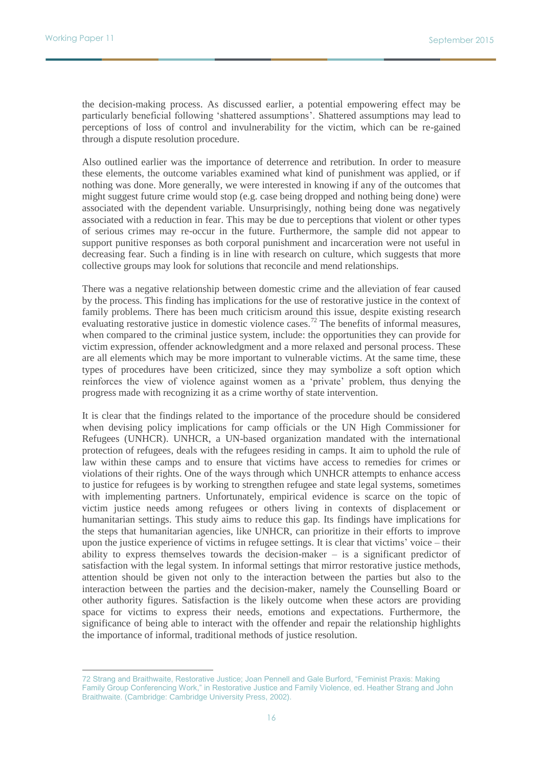$\overline{a}$ 

the decision-making process. As discussed earlier, a potential empowering effect may be particularly beneficial following 'shattered assumptions'. Shattered assumptions may lead to perceptions of loss of control and invulnerability for the victim, which can be re-gained through a dispute resolution procedure.

Also outlined earlier was the importance of deterrence and retribution. In order to measure these elements, the outcome variables examined what kind of punishment was applied, or if nothing was done. More generally, we were interested in knowing if any of the outcomes that might suggest future crime would stop (e.g. case being dropped and nothing being done) were associated with the dependent variable. Unsurprisingly, nothing being done was negatively associated with a reduction in fear. This may be due to perceptions that violent or other types of serious crimes may re-occur in the future. Furthermore, the sample did not appear to support punitive responses as both corporal punishment and incarceration were not useful in decreasing fear. Such a finding is in line with research on culture, which suggests that more collective groups may look for solutions that reconcile and mend relationships.

There was a negative relationship between domestic crime and the alleviation of fear caused by the process. This finding has implications for the use of restorative justice in the context of family problems. There has been much criticism around this issue, despite existing research evaluating restorative justice in domestic violence cases.<sup>72</sup> The benefits of informal measures, when compared to the criminal justice system, include: the opportunities they can provide for victim expression, offender acknowledgment and a more relaxed and personal process. These are all elements which may be more important to vulnerable victims. At the same time, these types of procedures have been criticized, since they may symbolize a soft option which reinforces the view of violence against women as a 'private' problem, thus denying the progress made with recognizing it as a crime worthy of state intervention.

It is clear that the findings related to the importance of the procedure should be considered when devising policy implications for camp officials or the UN High Commissioner for Refugees (UNHCR). UNHCR, a UN-based organization mandated with the international protection of refugees, deals with the refugees residing in camps. It aim to uphold the rule of law within these camps and to ensure that victims have access to remedies for crimes or violations of their rights. One of the ways through which UNHCR attempts to enhance access to justice for refugees is by working to strengthen refugee and state legal systems, sometimes with implementing partners. Unfortunately, empirical evidence is scarce on the topic of victim justice needs among refugees or others living in contexts of displacement or humanitarian settings. This study aims to reduce this gap. Its findings have implications for the steps that humanitarian agencies, like UNHCR, can prioritize in their efforts to improve upon the justice experience of victims in refugee settings. It is clear that victims' voice – their ability to express themselves towards the decision-maker  $-$  is a significant predictor of satisfaction with the legal system. In informal settings that mirror restorative justice methods, attention should be given not only to the interaction between the parties but also to the interaction between the parties and the decision-maker, namely the Counselling Board or other authority figures. Satisfaction is the likely outcome when these actors are providing space for victims to express their needs, emotions and expectations. Furthermore, the significance of being able to interact with the offender and repair the relationship highlights the importance of informal, traditional methods of justice resolution.

<sup>72</sup> Strang and Braithwaite, Restorative Justice; Joan Pennell and Gale Burford, "Feminist Praxis: Making Family Group Conferencing Work," in Restorative Justice and Family Violence, ed. Heather Strang and John Braithwaite. (Cambridge: Cambridge University Press, 2002).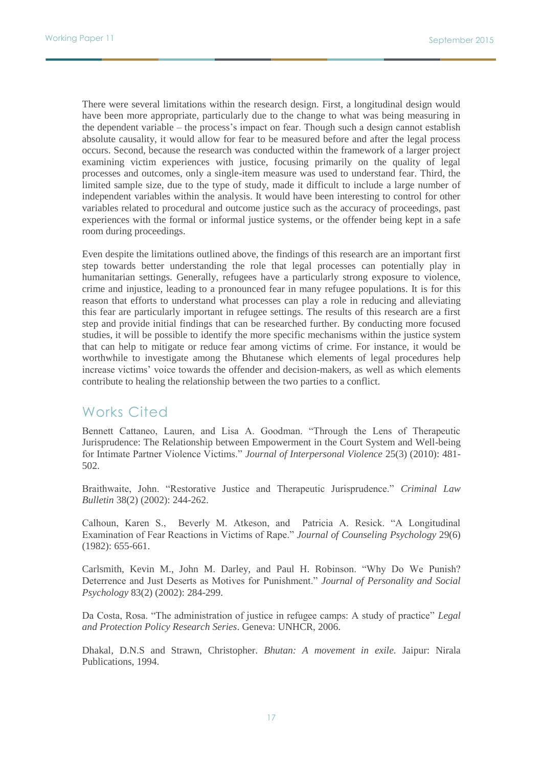There were several limitations within the research design. First, a longitudinal design would have been more appropriate, particularly due to the change to what was being measuring in the dependent variable – the process's impact on fear. Though such a design cannot establish absolute causality, it would allow for fear to be measured before and after the legal process occurs. Second, because the research was conducted within the framework of a larger project examining victim experiences with justice, focusing primarily on the quality of legal processes and outcomes, only a single-item measure was used to understand fear. Third, the limited sample size, due to the type of study, made it difficult to include a large number of independent variables within the analysis. It would have been interesting to control for other variables related to procedural and outcome justice such as the accuracy of proceedings, past experiences with the formal or informal justice systems, or the offender being kept in a safe room during proceedings.

Even despite the limitations outlined above, the findings of this research are an important first step towards better understanding the role that legal processes can potentially play in humanitarian settings. Generally, refugees have a particularly strong exposure to violence, crime and injustice, leading to a pronounced fear in many refugee populations. It is for this reason that efforts to understand what processes can play a role in reducing and alleviating this fear are particularly important in refugee settings. The results of this research are a first step and provide initial findings that can be researched further. By conducting more focused studies, it will be possible to identify the more specific mechanisms within the justice system that can help to mitigate or reduce fear among victims of crime. For instance, it would be worthwhile to investigate among the Bhutanese which elements of legal procedures help increase victims' voice towards the offender and decision-makers, as well as which elements contribute to healing the relationship between the two parties to a conflict.

## Works Cited

Bennett Cattaneo, Lauren, and Lisa A. Goodman. "Through the Lens of Therapeutic Jurisprudence: The Relationship between Empowerment in the Court System and Well-being for Intimate Partner Violence Victims." *Journal of Interpersonal Violence* 25(3) (2010): 481- 502.

Braithwaite, John. "Restorative Justice and Therapeutic Jurisprudence." *Criminal Law Bulletin* 38(2) (2002): 244-262.

Calhoun, Karen S., Beverly M. Atkeson, and Patricia A. Resick. "A Longitudinal Examination of Fear Reactions in Victims of Rape." *Journal of Counseling Psychology* 29(6) (1982): 655-661.

Carlsmith, Kevin M., John M. Darley, and Paul H. Robinson. "Why Do We Punish? Deterrence and Just Deserts as Motives for Punishment." *Journal of Personality and Social Psychology* 83(2) (2002): 284-299.

Da Costa, Rosa. "The administration of justice in refugee camps: A study of practice" *Legal and Protection Policy Research Series*. Geneva: UNHCR, 2006.

Dhakal, D.N.S and Strawn, Christopher. *Bhutan: A movement in exile.* Jaipur: Nirala Publications, 1994.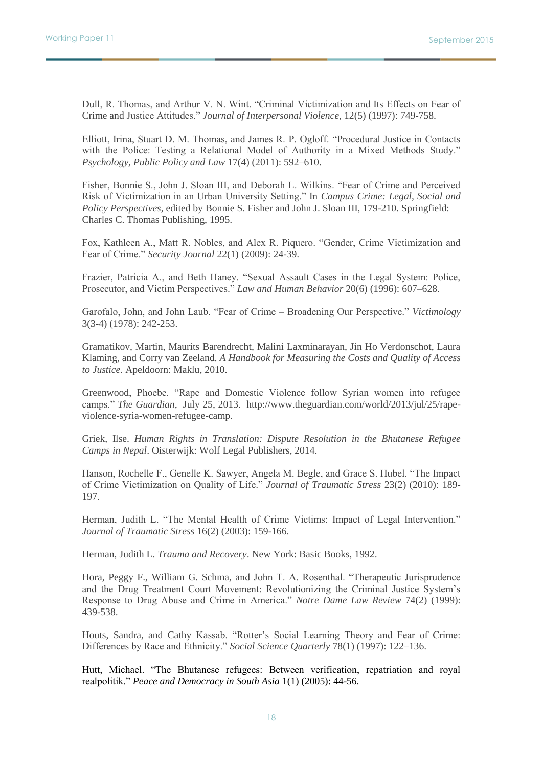Dull, R. Thomas, and Arthur V. N. Wint. "Criminal Victimization and Its Effects on Fear of Crime and Justice Attitudes." *Journal of Interpersonal Violence,* 12(5) (1997): 749-758.

Elliott, Irina, Stuart D. M. Thomas, and James R. P. Ogloff. "Procedural Justice in Contacts with the Police: Testing a Relational Model of Authority in a Mixed Methods Study." *Psychology, Public Policy and Law* 17(4) (2011): 592–610.

Fisher, Bonnie S., John J. Sloan III, and Deborah L. Wilkins. "Fear of Crime and Perceived Risk of Victimization in an Urban University Setting." In *Campus Crime: Legal, Social and Policy Perspectives*, edited by Bonnie S. Fisher and John J. Sloan III, 179-210. Springfield: Charles C. Thomas Publishing, 1995.

Fox, Kathleen A., Matt R. Nobles, and Alex R. Piquero. "Gender, Crime Victimization and Fear of Crime." *Security Journal* 22(1) (2009): 24-39.

Frazier, Patricia A., and Beth Haney. "Sexual Assault Cases in the Legal System: Police, Prosecutor, and Victim Perspectives." *Law and Human Behavior* 20(6) (1996): 607–628.

Garofalo, John, and John Laub. "Fear of Crime – Broadening Our Perspective." *Victimology* 3(3-4) (1978): 242-253.

Gramatikov, Martin, Maurits Barendrecht, Malini Laxminarayan, Jin Ho Verdonschot, Laura Klaming, and Corry van Zeeland. *A Handbook for Measuring the Costs and Quality of Access to Justice*. Apeldoorn: Maklu, 2010.

Greenwood, Phoebe. "Rape and Domestic Violence follow Syrian women into refugee camps." *The Guardian*, July 25, 2013. http://www.theguardian.com/world/2013/jul/25/rapeviolence-syria-women-refugee-camp.

Griek, Ilse. *Human Rights in Translation: Dispute Resolution in the Bhutanese Refugee Camps in Nepal*. Oisterwijk: Wolf Legal Publishers, 2014.

Hanson, Rochelle F., Genelle K. Sawyer, Angela M. Begle, and Grace S. Hubel. "The Impact of Crime Victimization on Quality of Life." *Journal of Traumatic Stress* 23(2) (2010): 189- 197.

Herman, Judith L. "The Mental Health of Crime Victims: Impact of Legal Intervention." *Journal of Traumatic Stress* 16(2) (2003): 159-166.

Herman, Judith L. *Trauma and Recovery*. New York: Basic Books, 1992.

Hora, Peggy F., William G. Schma, and John T. A. Rosenthal. "Therapeutic Jurisprudence and the Drug Treatment Court Movement: Revolutionizing the Criminal Justice System's Response to Drug Abuse and Crime in America." *Notre Dame Law Review* 74(2) (1999): 439-538.

Houts, Sandra, and Cathy Kassab. "Rotter's Social Learning Theory and Fear of Crime: Differences by Race and Ethnicity." *Social Science Quarterly* 78(1) (1997): 122–136.

Hutt, Michael. "The Bhutanese refugees: Between verification, repatriation and royal realpolitik." *Peace and Democracy in South Asia* 1(1) (2005): 44-56.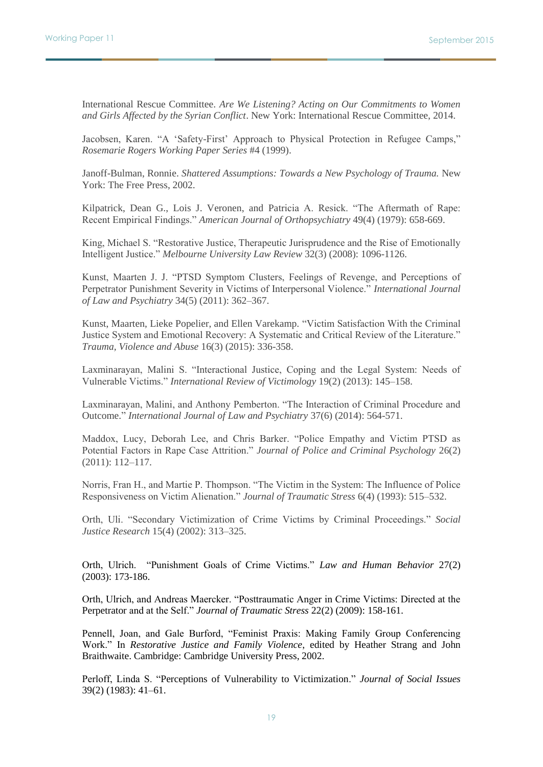International Rescue Committee. *Are We Listening? Acting on Our Commitments to Women and Girls Affected by the Syrian Conflict*. New York: International Rescue Committee, 2014.

Jacobsen, Karen. "A 'Safety-First' Approach to Physical Protection in Refugee Camps," *Rosemarie Rogers Working Paper Series* #4 (1999).

Janoff-Bulman, Ronnie. *Shattered Assumptions: Towards a New Psychology of Trauma.* New York: The Free Press, 2002.

Kilpatrick, Dean G., Lois J. Veronen, and Patricia A. Resick. "The Aftermath of Rape: Recent Empirical Findings." *American Journal of Orthopsychiatry* 49(4) (1979): 658-669.

King, Michael S. "Restorative Justice, Therapeutic Jurisprudence and the Rise of Emotionally Intelligent Justice." *Melbourne University Law Review* 32(3) (2008): 1096-1126.

Kunst, Maarten J. J. "PTSD Symptom Clusters, Feelings of Revenge, and Perceptions of Perpetrator Punishment Severity in Victims of Interpersonal Violence." *International Journal of Law and Psychiatry* 34(5) (2011): 362–367.

Kunst, Maarten, Lieke Popelier, and Ellen Varekamp. "Victim Satisfaction With the Criminal Justice System and Emotional Recovery: A Systematic and Critical Review of the Literature." *Trauma, Violence and Abuse* 16(3) (2015): 336-358.

Laxminarayan, Malini S. "Interactional Justice, Coping and the Legal System: Needs of Vulnerable Victims." *International Review of Victimology* 19(2) (2013): 145–158.

Laxminarayan, Malini, and Anthony Pemberton. "The Interaction of Criminal Procedure and Outcome." *International Journal of Law and Psychiatry* 37(6) (2014): 564-571.

Maddox, Lucy, Deborah Lee, and Chris Barker. "Police Empathy and Victim PTSD as Potential Factors in Rape Case Attrition." *Journal of Police and Criminal Psychology* 26(2) (2011): 112–117.

Norris, Fran H., and Martie P. Thompson. "The Victim in the System: The Influence of Police Responsiveness on Victim Alienation." *Journal of Traumatic Stress* 6(4) (1993): 515–532.

Orth, Uli. "Secondary Victimization of Crime Victims by Criminal Proceedings." *Social Justice Research* 15(4) (2002): 313–325.

Orth, Ulrich. "Punishment Goals of Crime Victims." *Law and Human Behavior* 27(2) (2003): 173-186.

Orth, Ulrich, and Andreas Maercker. "Posttraumatic Anger in Crime Victims: Directed at the Perpetrator and at the Self." *Journal of Traumatic Stress* 22(2) (2009): 158-161.

Pennell, Joan, and Gale Burford, "Feminist Praxis: Making Family Group Conferencing Work." In *Restorative Justice and Family Violence*, edited by Heather Strang and John Braithwaite. Cambridge: Cambridge University Press, 2002.

Perloff, Linda S. "Perceptions of Vulnerability to Victimization." *Journal of Social Issues* 39(2) (1983): 41–61.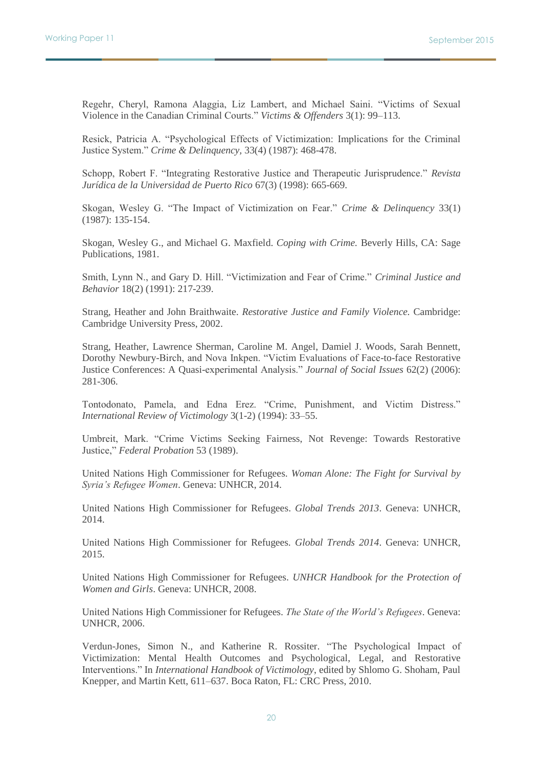Regehr, Cheryl, Ramona Alaggia, Liz Lambert, and Michael Saini. "Victims of Sexual Violence in the Canadian Criminal Courts." *Victims & Offenders* 3(1): 99–113.

Resick, Patricia A. "Psychological Effects of Victimization: Implications for the Criminal Justice System." *Crime & Delinquency,* 33(4) (1987): 468-478.

Schopp, Robert F. "Integrating Restorative Justice and Therapeutic Jurisprudence." *Revista Jurídica de la Universidad de Puerto Rico* 67(3) (1998): 665-669.

Skogan, Wesley G. "The Impact of Victimization on Fear." *Crime & Delinquency* 33(1) (1987): 135-154.

Skogan, Wesley G., and Michael G. Maxfield. *Coping with Crime.* Beverly Hills, CA: Sage Publications, 1981.

Smith, Lynn N., and Gary D. Hill. "Victimization and Fear of Crime." *Criminal Justice and Behavior* 18(2) (1991): 217-239.

Strang, Heather and John Braithwaite. *Restorative Justice and Family Violence.* Cambridge: Cambridge University Press, 2002.

Strang, Heather, Lawrence Sherman, Caroline M. Angel, Damiel J. Woods, Sarah Bennett, Dorothy Newbury-Birch, and Nova Inkpen. "Victim Evaluations of Face-to-face Restorative Justice Conferences: A Quasi-experimental Analysis." *Journal of Social Issues* 62(2) (2006): 281-306.

Tontodonato, Pamela, and Edna Erez. "Crime, Punishment, and Victim Distress." *International Review of Victimology* 3(1-2) (1994): 33–55.

Umbreit, Mark. "Crime Victims Seeking Fairness, Not Revenge: Towards Restorative Justice," *Federal Probation* 53 (1989).

United Nations High Commissioner for Refugees. *Woman Alone: The Fight for Survival by Syria's Refugee Women*. Geneva: UNHCR, 2014.

United Nations High Commissioner for Refugees. *Global Trends 2013*. Geneva: UNHCR, 2014.

United Nations High Commissioner for Refugees. *Global Trends 2014*. Geneva: UNHCR, 2015.

United Nations High Commissioner for Refugees. *UNHCR Handbook for the Protection of Women and Girls*. Geneva: UNHCR, 2008.

United Nations High Commissioner for Refugees. *The State of the World's Refugees*. Geneva: UNHCR, 2006.

Verdun-Jones, Simon N., and Katherine R. Rossiter. "The Psychological Impact of Victimization: Mental Health Outcomes and Psychological, Legal, and Restorative Interventions." In *International Handbook of Victimology*, edited by Shlomo G. Shoham, Paul Knepper, and Martin Kett, 611–637. Boca Raton, FL: CRC Press, 2010.